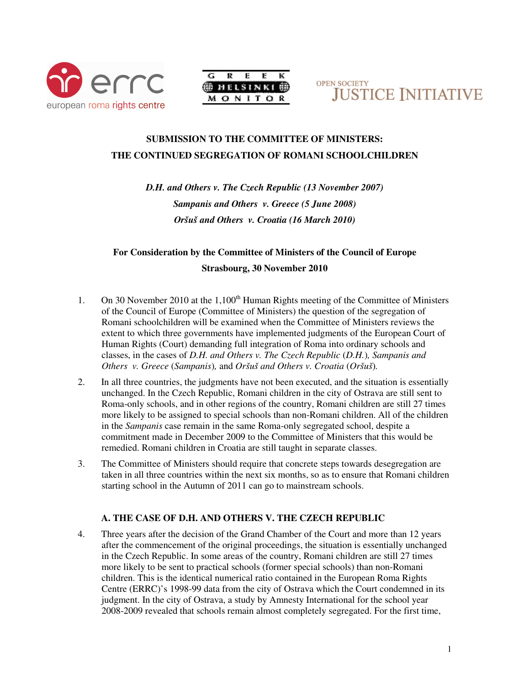





# **SUBMISSION TO THE COMMITTEE OF MINISTERS: THE CONTINUED SEGREGATION OF ROMANI SCHOOLCHILDREN**

*D.H. and Others v. The Czech Republic (13 November 2007) Sampanis and Others v. Greece (5 June 2008) Oršuš and Others v. Croatia (16 March 2010)* 

# **For Consideration by the Committee of Ministers of the Council of Europe Strasbourg, 30 November 2010**

- 1. On 30 November 2010 at the  $1,100<sup>th</sup>$  Human Rights meeting of the Committee of Ministers of the Council of Europe (Committee of Ministers) the question of the segregation of Romani schoolchildren will be examined when the Committee of Ministers reviews the extent to which three governments have implemented judgments of the European Court of Human Rights (Court) demanding full integration of Roma into ordinary schools and classes, in the cases of *D.H. and Others v. The Czech Republic* (*D.H.*)*, Sampanis and Others v. Greece* (*Sampanis*)*,* and *Oršuš and Others v. Croatia* (*Oršuš*)*.*
- 2. In all three countries, the judgments have not been executed, and the situation is essentially unchanged. In the Czech Republic, Romani children in the city of Ostrava are still sent to Roma-only schools, and in other regions of the country, Romani children are still 27 times more likely to be assigned to special schools than non-Romani children. All of the children in the *Sampanis* case remain in the same Roma-only segregated school, despite a commitment made in December 2009 to the Committee of Ministers that this would be remedied. Romani children in Croatia are still taught in separate classes.
- 3. The Committee of Ministers should require that concrete steps towards desegregation are taken in all three countries within the next six months, so as to ensure that Romani children starting school in the Autumn of 2011 can go to mainstream schools.

# **A. THE CASE OF D.H. AND OTHERS V. THE CZECH REPUBLIC**

4. Three years after the decision of the Grand Chamber of the Court and more than 12 years after the commencement of the original proceedings, the situation is essentially unchanged in the Czech Republic. In some areas of the country, Romani children are still 27 times more likely to be sent to practical schools (former special schools) than non-Romani children. This is the identical numerical ratio contained in the European Roma Rights Centre (ERRC)'s 1998-99 data from the city of Ostrava which the Court condemned in its judgment. In the city of Ostrava, a study by Amnesty International for the school year 2008-2009 revealed that schools remain almost completely segregated. For the first time,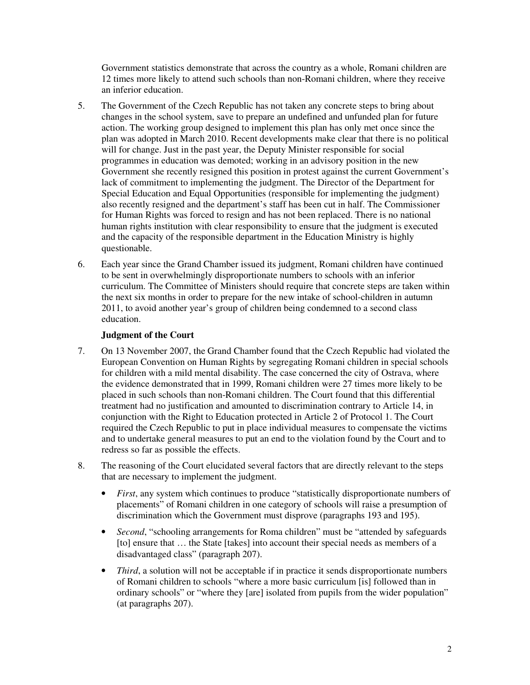Government statistics demonstrate that across the country as a whole, Romani children are 12 times more likely to attend such schools than non-Romani children, where they receive an inferior education.

- 5. The Government of the Czech Republic has not taken any concrete steps to bring about changes in the school system, save to prepare an undefined and unfunded plan for future action. The working group designed to implement this plan has only met once since the plan was adopted in March 2010. Recent developments make clear that there is no political will for change. Just in the past year, the Deputy Minister responsible for social programmes in education was demoted; working in an advisory position in the new Government she recently resigned this position in protest against the current Government's lack of commitment to implementing the judgment. The Director of the Department for Special Education and Equal Opportunities (responsible for implementing the judgment) also recently resigned and the department's staff has been cut in half. The Commissioner for Human Rights was forced to resign and has not been replaced. There is no national human rights institution with clear responsibility to ensure that the judgment is executed and the capacity of the responsible department in the Education Ministry is highly questionable.
- 6. Each year since the Grand Chamber issued its judgment, Romani children have continued to be sent in overwhelmingly disproportionate numbers to schools with an inferior curriculum. The Committee of Ministers should require that concrete steps are taken within the next six months in order to prepare for the new intake of school-children in autumn 2011, to avoid another year's group of children being condemned to a second class education.

# **Judgment of the Court**

- 7. On 13 November 2007, the Grand Chamber found that the Czech Republic had violated the European Convention on Human Rights by segregating Romani children in special schools for children with a mild mental disability. The case concerned the city of Ostrava, where the evidence demonstrated that in 1999, Romani children were 27 times more likely to be placed in such schools than non-Romani children. The Court found that this differential treatment had no justification and amounted to discrimination contrary to Article 14, in conjunction with the Right to Education protected in Article 2 of Protocol 1. The Court required the Czech Republic to put in place individual measures to compensate the victims and to undertake general measures to put an end to the violation found by the Court and to redress so far as possible the effects.
- 8. The reasoning of the Court elucidated several factors that are directly relevant to the steps that are necessary to implement the judgment.
	- *First*, any system which continues to produce "statistically disproportionate numbers of placements" of Romani children in one category of schools will raise a presumption of discrimination which the Government must disprove (paragraphs 193 and 195).
	- *Second*, "schooling arrangements for Roma children" must be "attended by safeguards [to] ensure that ... the State [takes] into account their special needs as members of a disadvantaged class" (paragraph 207).
	- *Third*, a solution will not be acceptable if in practice it sends disproportionate numbers of Romani children to schools "where a more basic curriculum [is] followed than in ordinary schools" or "where they [are] isolated from pupils from the wider population" (at paragraphs 207).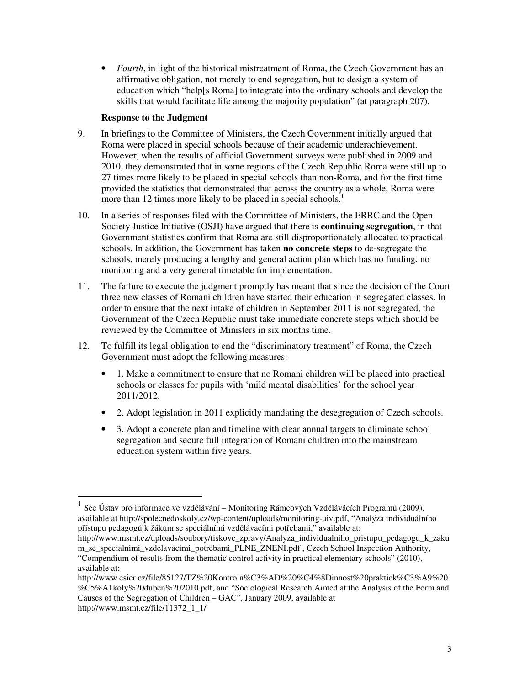• *Fourth*, in light of the historical mistreatment of Roma, the Czech Government has an affirmative obligation, not merely to end segregation, but to design a system of education which "help[s Roma] to integrate into the ordinary schools and develop the skills that would facilitate life among the majority population" (at paragraph 207).

# **Response to the Judgment**

- 9. In briefings to the Committee of Ministers, the Czech Government initially argued that Roma were placed in special schools because of their academic underachievement. However, when the results of official Government surveys were published in 2009 and 2010, they demonstrated that in some regions of the Czech Republic Roma were still up to 27 times more likely to be placed in special schools than non-Roma, and for the first time provided the statistics that demonstrated that across the country as a whole, Roma were more than 12 times more likely to be placed in special schools.<sup>1</sup>
- 10. In a series of responses filed with the Committee of Ministers, the ERRC and the Open Society Justice Initiative (OSJI) have argued that there is **continuing segregation**, in that Government statistics confirm that Roma are still disproportionately allocated to practical schools. In addition, the Government has taken **no concrete steps** to de-segregate the schools, merely producing a lengthy and general action plan which has no funding, no monitoring and a very general timetable for implementation.
- 11. The failure to execute the judgment promptly has meant that since the decision of the Court three new classes of Romani children have started their education in segregated classes. In order to ensure that the next intake of children in September 2011 is not segregated, the Government of the Czech Republic must take immediate concrete steps which should be reviewed by the Committee of Ministers in six months time.
- 12. To fulfill its legal obligation to end the "discriminatory treatment" of Roma, the Czech Government must adopt the following measures:
	- 1. Make a commitment to ensure that no Romani children will be placed into practical schools or classes for pupils with 'mild mental disabilities' for the school year 2011/2012.
	- 2. Adopt legislation in 2011 explicitly mandating the desegregation of Czech schools.
	- 3. Adopt a concrete plan and timeline with clear annual targets to eliminate school segregation and secure full integration of Romani children into the mainstream education system within five years.

<sup>1</sup> See Ústav pro informace ve vzdělávání – Monitoring Rámcových Vzdělávácích Programů (2009), available at http://spolecnedoskoly.cz/wp-content/uploads/monitoring-uiv.pdf, "Analýza individuálního přístupu pedagogů k žákům se speciálními vzdělávacími potřebami," available at:

http://www.msmt.cz/uploads/soubory/tiskove\_zpravy/Analyza\_individualniho\_pristupu\_pedagogu\_k\_zaku m se specialnimi vzdelavacimi potrebami PLNE ZNENI.pdf , Czech School Inspection Authority, "Compendium of results from the thematic control activity in practical elementary schools" (2010), available at:

http://www.csicr.cz/file/85127/TZ%20Kontroln%C3%AD%20%C4%8Dinnost%20praktick%C3%A9%20 %C5%A1koly%20duben%202010.pdf, and "Sociological Research Aimed at the Analysis of the Form and Causes of the Segregation of Children – GAC", January 2009, available at http://www.msmt.cz/file/11372\_1\_1/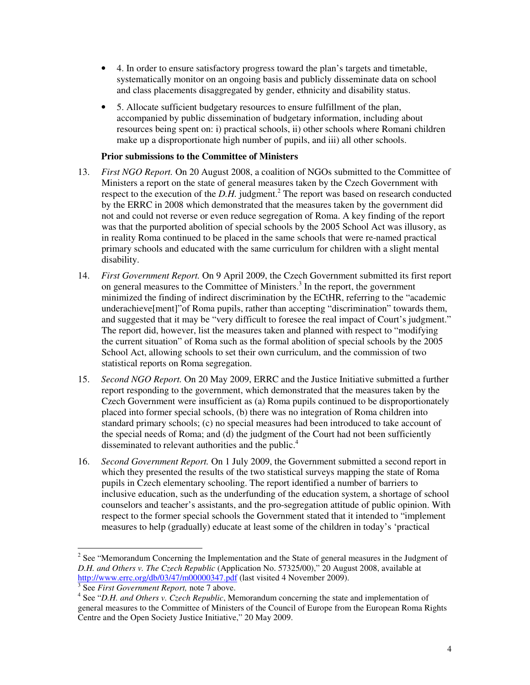- 4. In order to ensure satisfactory progress toward the plan's targets and timetable, systematically monitor on an ongoing basis and publicly disseminate data on school and class placements disaggregated by gender, ethnicity and disability status.
- 5. Allocate sufficient budgetary resources to ensure fulfillment of the plan, accompanied by public dissemination of budgetary information, including about resources being spent on: i) practical schools, ii) other schools where Romani children make up a disproportionate high number of pupils, and iii) all other schools.

### **Prior submissions to the Committee of Ministers**

- 13. *First NGO Report.* On 20 August 2008, a coalition of NGOs submitted to the Committee of Ministers a report on the state of general measures taken by the Czech Government with respect to the execution of the  $D.H.$  judgment.<sup>2</sup> The report was based on research conducted by the ERRC in 2008 which demonstrated that the measures taken by the government did not and could not reverse or even reduce segregation of Roma. A key finding of the report was that the purported abolition of special schools by the 2005 School Act was illusory, as in reality Roma continued to be placed in the same schools that were re-named practical primary schools and educated with the same curriculum for children with a slight mental disability.
- 14. *First Government Report.* On 9 April 2009, the Czech Government submitted its first report on general measures to the Committee of Ministers.<sup>3</sup> In the report, the government minimized the finding of indirect discrimination by the ECtHR, referring to the "academic underachieve[ment]"of Roma pupils, rather than accepting "discrimination" towards them, and suggested that it may be "very difficult to foresee the real impact of Court's judgment." The report did, however, list the measures taken and planned with respect to "modifying the current situation" of Roma such as the formal abolition of special schools by the 2005 School Act, allowing schools to set their own curriculum, and the commission of two statistical reports on Roma segregation.
- 15. *Second NGO Report.* On 20 May 2009, ERRC and the Justice Initiative submitted a further report responding to the government, which demonstrated that the measures taken by the Czech Government were insufficient as (a) Roma pupils continued to be disproportionately placed into former special schools, (b) there was no integration of Roma children into standard primary schools; (c) no special measures had been introduced to take account of the special needs of Roma; and (d) the judgment of the Court had not been sufficiently disseminated to relevant authorities and the public.<sup>4</sup>
- 16. *Second Government Report.* On 1 July 2009, the Government submitted a second report in which they presented the results of the two statistical surveys mapping the state of Roma pupils in Czech elementary schooling. The report identified a number of barriers to inclusive education, such as the underfunding of the education system, a shortage of school counselors and teacher's assistants, and the pro-segregation attitude of public opinion. With respect to the former special schools the Government stated that it intended to "implement measures to help (gradually) educate at least some of the children in today's 'practical

 $2^2$  See "Memorandum Concerning the Implementation and the State of general measures in the Judgment of *D.H. and Others v. The Czech Republic* (Application No. 57325/00)," 20 August 2008, available at http://www.errc.org/db/03/47/m00000347.pdf (last visited 4 November 2009).

<sup>3</sup> See *First Government Report,* note 7 above.

<sup>4</sup> See "*D.H. and Others v. Czech Republic*, Memorandum concerning the state and implementation of general measures to the Committee of Ministers of the Council of Europe from the European Roma Rights Centre and the Open Society Justice Initiative," 20 May 2009.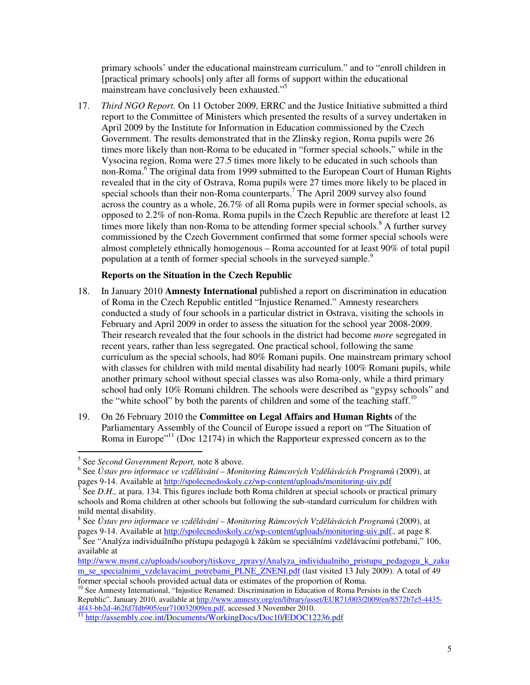primary schools' under the educational mainstream curriculum." and to "enroll children in [practical primary schools] only after all forms of support within the educational mainstream have conclusively been exhausted."<sup>5</sup>

17. *Third NGO Report.* On 11 October 2009, ERRC and the Justice Initiative submitted a third report to the Committee of Ministers which presented the results of a survey undertaken in April 2009 by the Institute for Information in Education commissioned by the Czech Government. The results demonstrated that in the Zlinsky region, Roma pupils were 26 times more likely than non-Roma to be educated in "former special schools," while in the Vysocina region, Roma were 27.5 times more likely to be educated in such schools than non-Roma.<sup>6</sup> The original data from 1999 submitted to the European Court of Human Rights revealed that in the city of Ostrava, Roma pupils were 27 times more likely to be placed in special schools than their non-Roma counterparts.<sup>7</sup> The April 2009 survey also found across the country as a whole, 26.7% of all Roma pupils were in former special schools, as opposed to 2.2% of non-Roma. Roma pupils in the Czech Republic are therefore at least 12 times more likely than non-Roma to be attending former special schools.<sup>8</sup> A further survey commissioned by the Czech Government confirmed that some former special schools were almost completely ethnically homogenous – Roma accounted for at least 90% of total pupil population at a tenth of former special schools in the surveyed sample.<sup>9</sup>

# **Reports on the Situation in the Czech Republic**

- 18. In January 2010 **Amnesty International** published a report on discrimination in education of Roma in the Czech Republic entitled "Injustice Renamed." Amnesty researchers conducted a study of four schools in a particular district in Ostrava, visiting the schools in February and April 2009 in order to assess the situation for the school year 2008-2009. Their research revealed that the four schools in the district had become *more* segregated in recent years, rather than less segregated. One practical school, following the same curriculum as the special schools, had 80% Romani pupils. One mainstream primary school with classes for children with mild mental disability had nearly 100% Romani pupils, while another primary school without special classes was also Roma-only, while a third primary school had only 10% Romani children. The schools were described as "gypsy schools" and the "white school" by both the parents of children and some of the teaching staff.<sup>10</sup>
- 19. On 26 February 2010 the **Committee on Legal Affairs and Human Rights** of the Parliamentary Assembly of the Council of Europe issued a report on "The Situation of Roma in Europe<sup> $11$ </sup> (Doc 12174) in which the Rapporteur expressed concern as to the

<sup>5</sup> See *Second Government Report,* note 8 above.

<sup>6</sup> See *Ústav pro informace ve vzd*ě*lávání – Monitoring Rámcových Vzd*ě*lávácích Program*ů (2009), at pages 9-14. Available at <u>http://spolecnedoskoly.cz/wp-content/uploads/monitoring-uiv.pdf</u><br><sup>7</sup> See D H at pare 134. This figures include both Borne shildren at special schools or press

See *D.H.*, at para. 134. This figures include both Roma children at special schools or practical primary schools and Roma children at other schools but following the sub-standard curriculum for children with mild mental disability.

<sup>8</sup> See *Ústav pro informace ve vzd*ě*lávání – Monitoring Rámcových Vzd*ě*lávácích Program*ů (2009), at pages 9-14. Available at http://spolecnedoskoly.cz/wp-content/uploads/monitoring-uiv.pdf*.,* at page 8.

<sup>9</sup> See "Analýza individuálního přístupu pedagogů k žákům se speciálními vzdělávacími potřebami," 106, available at

http://www.msmt.cz/uploads/soubory/tiskove\_zpravy/Analyza\_individualniho\_pristupu\_pedagogu\_k\_zaku m\_se\_specialnimi\_vzdelavacimi\_potrebami\_PLNE\_ZNENI.pdf (last visited 13 July 2009). A total of 49 former special schools provided actual data or estimates of the proportion of Roma.

<sup>&</sup>lt;sup>10</sup> See Amnesty International, "Injustice Renamed: Discrimination in Education of Roma Persists in the Czech Republic", January 2010, available at http://www.amnesty.org/en/library/asset/EUR71/003/2009/en/8572b7e5-4435-4f43-bb2d-462fd7fdb905/eur710032009en.pdf, accessed 3 November 2010.

<sup>&</sup>lt;sup>11</sup> http://assembly.coe.int/Documents/WorkingDocs/Doc10/EDOC12236.pdf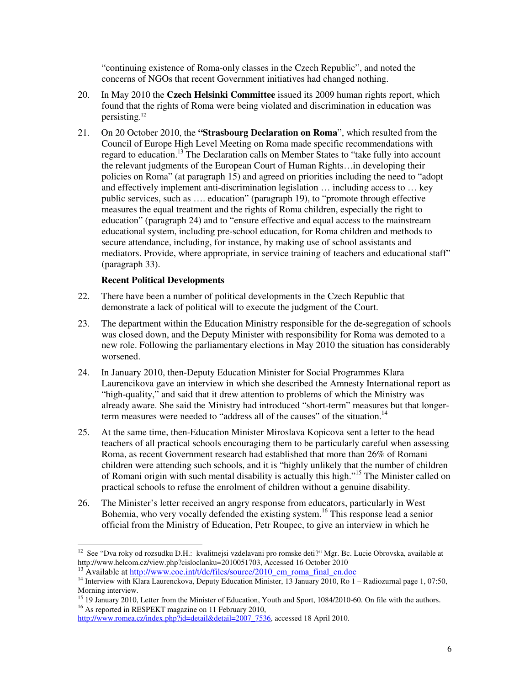"continuing existence of Roma-only classes in the Czech Republic", and noted the concerns of NGOs that recent Government initiatives had changed nothing.

- 20. In May 2010 the **Czech Helsinki Committee** issued its 2009 human rights report, which found that the rights of Roma were being violated and discrimination in education was persisting.<sup>12</sup>
- 21. On 20 October 2010, the **"Strasbourg Declaration on Roma**", which resulted from the Council of Europe High Level Meeting on Roma made specific recommendations with regard to education.<sup>13</sup> The Declaration calls on Member States to "take fully into account the relevant judgments of the European Court of Human Rights…in developing their policies on Roma" (at paragraph 15) and agreed on priorities including the need to "adopt and effectively implement anti-discrimination legislation … including access to … key public services, such as …. education" (paragraph 19), to "promote through effective measures the equal treatment and the rights of Roma children, especially the right to education" (paragraph 24) and to "ensure effective and equal access to the mainstream educational system, including pre-school education, for Roma children and methods to secure attendance, including, for instance, by making use of school assistants and mediators. Provide, where appropriate, in service training of teachers and educational staff" (paragraph 33).

# **Recent Political Developments**

- 22. There have been a number of political developments in the Czech Republic that demonstrate a lack of political will to execute the judgment of the Court.
- 23. The department within the Education Ministry responsible for the de-segregation of schools was closed down, and the Deputy Minister with responsibility for Roma was demoted to a new role. Following the parliamentary elections in May 2010 the situation has considerably worsened.
- 24. In January 2010, then-Deputy Education Minister for Social Programmes Klara Laurencikova gave an interview in which she described the Amnesty International report as "high-quality," and said that it drew attention to problems of which the Ministry was already aware. She said the Ministry had introduced "short-term" measures but that longerterm measures were needed to "address all of the causes" of the situation.<sup>14</sup>
- 25. At the same time, then-Education Minister Miroslava Kopicova sent a letter to the head teachers of all practical schools encouraging them to be particularly careful when assessing Roma, as recent Government research had established that more than 26% of Romani children were attending such schools, and it is "highly unlikely that the number of children of Romani origin with such mental disability is actually this high."<sup>15</sup> The Minister called on practical schools to refuse the enrolment of children without a genuine disability.
- 26. The Minister's letter received an angry response from educators, particularly in West Bohemia, who very vocally defended the existing system.<sup>16</sup> This response lead a senior official from the Ministry of Education, Petr Roupec, to give an interview in which he

 $\overline{a}$ <sup>12</sup> See "Dva roky od rozsudku D.H.: kvalitnejsi vzdelavani pro romske deti?" Mgr. Bc. Lucie Obrovska, available at http://www.helcom.cz/view.php?cisloclanku=2010051703, Accessed 16 October 2010

<sup>&</sup>lt;sup>13</sup> Available at http://www.coe.int/t/dc/files/source/2010\_cm\_roma\_final\_en.doc

<sup>&</sup>lt;sup>14</sup> Interview with Klara Laurenckova, Deputy Education Minister, 13 January 2010, Ro 1 – Radiozurnal page 1, 07:50, Morning interview.

<sup>&</sup>lt;sup>15</sup> 19 January 2010, Letter from the Minister of Education, Youth and Sport, 1084/2010-60. On file with the authors. <sup>16</sup> As reported in RESPEKT magazine on 11 February 2010,

http://www.romea.cz/index.php?id=detail&detail=2007\_7536, accessed 18 April 2010.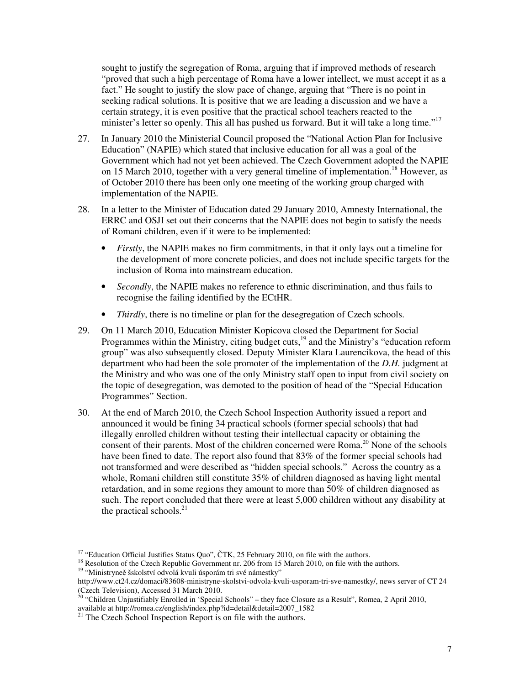sought to justify the segregation of Roma, arguing that if improved methods of research "proved that such a high percentage of Roma have a lower intellect, we must accept it as a fact." He sought to justify the slow pace of change, arguing that "There is no point in seeking radical solutions. It is positive that we are leading a discussion and we have a certain strategy, it is even positive that the practical school teachers reacted to the minister's letter so openly. This all has pushed us forward. But it will take a long time."<sup>17</sup>

- 27. In January 2010 the Ministerial Council proposed the "National Action Plan for Inclusive Education" (NAPIE) which stated that inclusive education for all was a goal of the Government which had not yet been achieved. The Czech Government adopted the NAPIE on 15 March 2010, together with a very general timeline of implementation.<sup>18</sup> However, as of October 2010 there has been only one meeting of the working group charged with implementation of the NAPIE.
- 28. In a letter to the Minister of Education dated 29 January 2010, Amnesty International, the ERRC and OSJI set out their concerns that the NAPIE does not begin to satisfy the needs of Romani children, even if it were to be implemented:
	- *Firstly*, the NAPIE makes no firm commitments, in that it only lays out a timeline for the development of more concrete policies, and does not include specific targets for the inclusion of Roma into mainstream education.
	- *Secondly*, the NAPIE makes no reference to ethnic discrimination, and thus fails to recognise the failing identified by the ECtHR.
	- *Thirdly*, there is no timeline or plan for the desegregation of Czech schools.
- 29. On 11 March 2010, Education Minister Kopicova closed the Department for Social Programmes within the Ministry, citing budget cuts,<sup>19</sup> and the Ministry's "education reform group" was also subsequently closed. Deputy Minister Klara Laurencikova, the head of this department who had been the sole promoter of the implementation of the *D.H.* judgment at the Ministry and who was one of the only Ministry staff open to input from civil society on the topic of desegregation, was demoted to the position of head of the "Special Education Programmes" Section.
- 30. At the end of March 2010, the Czech School Inspection Authority issued a report and announced it would be fining 34 practical schools (former special schools) that had illegally enrolled children without testing their intellectual capacity or obtaining the consent of their parents. Most of the children concerned were Roma.<sup>20</sup> None of the schools have been fined to date. The report also found that 83% of the former special schools had not transformed and were described as "hidden special schools." Across the country as a whole, Romani children still constitute 35% of children diagnosed as having light mental retardation, and in some regions they amount to more than 50% of children diagnosed as such. The report concluded that there were at least 5,000 children without any disability at the practical schools. $^{21}$

<sup>&</sup>lt;sup>17</sup> "Education Official Justifies Status Quo",  $\text{CTK}, 25$  February 2010, on file with the authors.

<sup>&</sup>lt;sup>18</sup> Resolution of the Czech Republic Government nr. 206 from 15 March 2010, on file with the authors. <sup>19</sup> "Ministryneě šskolství odvolá kvuli úsporám tri své námestky"

http://www.ct24.cz/domaci/83608-ministryne-skolstvi-odvola-kvuli-usporam-tri-sve-namestky/, news server of CT 24 (Czech Television), Accessed 31 March 2010.

<sup>&</sup>lt;sup>20</sup> "Children Unjustifiably Enrolled in 'Special Schools" – they face Closure as a Result", Romea, 2 April 2010, available at http://romea.cz/english/index.php?id=detail&detail=2007\_1582

 $21$  The Czech School Inspection Report is on file with the authors.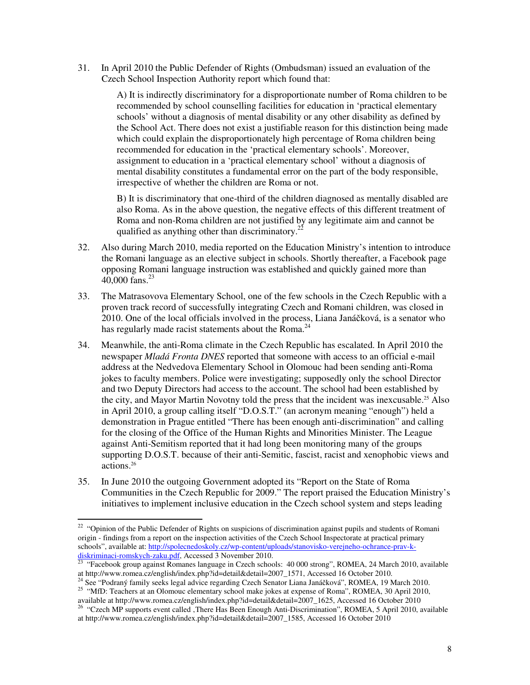31. In April 2010 the Public Defender of Rights (Ombudsman) issued an evaluation of the Czech School Inspection Authority report which found that:

> A) It is indirectly discriminatory for a disproportionate number of Roma children to be recommended by school counselling facilities for education in 'practical elementary schools' without a diagnosis of mental disability or any other disability as defined by the School Act. There does not exist a justifiable reason for this distinction being made which could explain the disproportionately high percentage of Roma children being recommended for education in the 'practical elementary schools'. Moreover, assignment to education in a 'practical elementary school' without a diagnosis of mental disability constitutes a fundamental error on the part of the body responsible, irrespective of whether the children are Roma or not.

> B) It is discriminatory that one-third of the children diagnosed as mentally disabled are also Roma. As in the above question, the negative effects of this different treatment of Roma and non-Roma children are not justified by any legitimate aim and cannot be qualified as anything other than discriminatory.<sup>22</sup>

- 32. Also during March 2010, media reported on the Education Ministry's intention to introduce the Romani language as an elective subject in schools. Shortly thereafter, a Facebook page opposing Romani language instruction was established and quickly gained more than  $40,000$  fans.<sup>23</sup>
- 33. The Matrasovova Elementary School, one of the few schools in the Czech Republic with a proven track record of successfully integrating Czech and Romani children, was closed in 2010. One of the local officials involved in the process, Liana Janáčková, is a senator who has regularly made racist statements about the Roma.<sup>24</sup>
- 34. Meanwhile, the anti-Roma climate in the Czech Republic has escalated. In April 2010 the newspaper *Mladá Fronta DNES* reported that someone with access to an official e-mail address at the Nedvedova Elementary School in Olomouc had been sending anti-Roma jokes to faculty members. Police were investigating; supposedly only the school Director and two Deputy Directors had access to the account. The school had been established by the city, and Mayor Martin Novotny told the press that the incident was inexcusable.25 Also in April 2010, a group calling itself "D.O.S.T." (an acronym meaning "enough") held a demonstration in Prague entitled "There has been enough anti-discrimination" and calling for the closing of the Office of the Human Rights and Minorities Minister. The League against Anti-Semitism reported that it had long been monitoring many of the groups supporting D.O.S.T. because of their anti-Semitic, fascist, racist and xenophobic views and actions.<sup>26</sup>
- 35. In June 2010 the outgoing Government adopted its "Report on the State of Roma Communities in the Czech Republic for 2009." The report praised the Education Ministry's initiatives to implement inclusive education in the Czech school system and steps leading

<sup>&</sup>lt;sup>22</sup> "Opinion of the Public Defender of Rights on suspicions of discrimination against pupils and students of Romani origin - findings from a report on the inspection activities of the Czech School Inspectorate at practical primary schools", available at: http://spolecnedoskoly.cz/wp-content/uploads/stanovisko-verejneho-ochrance-prav-kdiskriminaci-romskych-zaku.pdf, Accessed 3 November 2010.

<sup>&</sup>lt;sup>23</sup> "Facebook group against Romanes language in Czech schools: 40 000 strong", ROMEA, 24 March 2010, available at http://www.romea.cz/english/index.php?id=detail&detail=2007\_1571, Accessed 16 October 2010.

<sup>&</sup>lt;sup>24</sup> See "Podraný family seeks legal advice regarding Czech Senator Liana Janáčková", ROMEA, 19 March 2010. <sup>25</sup> "MfD: Teachers at an Olomouc elementary school make jokes at expense of Roma", ROMEA, 30 April 2010,

available at http://www.romea.cz/english/index.php?id=detail&detail=2007\_1625, Accessed 16 October 2010 <sup>26</sup> "Czech MP supports event called , There Has Been Enough Anti-Discrimination", ROMEA, 5 April 2010, available at http://www.romea.cz/english/index.php?id=detail&detail=2007\_1585, Accessed 16 October 2010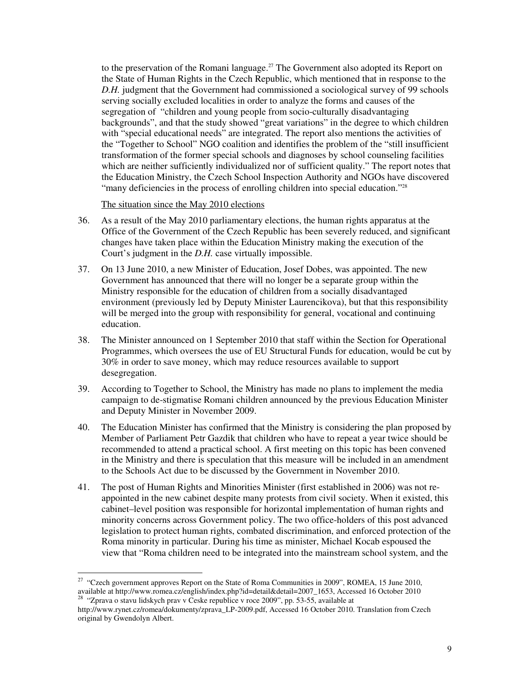to the preservation of the Romani language.<sup>27</sup> The Government also adopted its Report on the State of Human Rights in the Czech Republic, which mentioned that in response to the *D.H.* judgment that the Government had commissioned a sociological survey of 99 schools serving socially excluded localities in order to analyze the forms and causes of the segregation of "children and young people from socio-culturally disadvantaging backgrounds", and that the study showed "great variations" in the degree to which children with "special educational needs" are integrated. The report also mentions the activities of the "Together to School" NGO coalition and identifies the problem of the "still insufficient transformation of the former special schools and diagnoses by school counseling facilities which are neither sufficiently individualized nor of sufficient quality." The report notes that the Education Ministry, the Czech School Inspection Authority and NGOs have discovered "many deficiencies in the process of enrolling children into special education."<sup>28</sup>

The situation since the May 2010 elections

- 36. As a result of the May 2010 parliamentary elections, the human rights apparatus at the Office of the Government of the Czech Republic has been severely reduced, and significant changes have taken place within the Education Ministry making the execution of the Court's judgment in the *D.H.* case virtually impossible.
- 37. On 13 June 2010, a new Minister of Education, Josef Dobes, was appointed. The new Government has announced that there will no longer be a separate group within the Ministry responsible for the education of children from a socially disadvantaged environment (previously led by Deputy Minister Laurencikova), but that this responsibility will be merged into the group with responsibility for general, vocational and continuing education.
- 38. The Minister announced on 1 September 2010 that staff within the Section for Operational Programmes, which oversees the use of EU Structural Funds for education, would be cut by 30% in order to save money, which may reduce resources available to support desegregation.
- 39. According to Together to School, the Ministry has made no plans to implement the media campaign to de-stigmatise Romani children announced by the previous Education Minister and Deputy Minister in November 2009.
- 40. The Education Minister has confirmed that the Ministry is considering the plan proposed by Member of Parliament Petr Gazdik that children who have to repeat a year twice should be recommended to attend a practical school. A first meeting on this topic has been convened in the Ministry and there is speculation that this measure will be included in an amendment to the Schools Act due to be discussed by the Government in November 2010.
- 41. The post of Human Rights and Minorities Minister (first established in 2006) was not reappointed in the new cabinet despite many protests from civil society. When it existed, this cabinet–level position was responsible for horizontal implementation of human rights and minority concerns across Government policy. The two office-holders of this post advanced legislation to protect human rights, combated discrimination, and enforced protection of the Roma minority in particular. During his time as minister, Michael Kocab espoused the view that "Roma children need to be integrated into the mainstream school system, and the

<sup>&</sup>lt;sup>27</sup> "Czech government approves Report on the State of Roma Communities in 2009", ROMEA, 15 June 2010, available at http://www.romea.cz/english/index.php?id=detail&detail=2007\_1653, Accessed 16 October 2010  $28$  "Zprava o stavu lidskych prav v Česke republice v roce 2009", pp. 53-55, available at

http://www.rynet.cz/romea/dokumenty/zprava\_LP-2009.pdf, Accessed 16 October 2010. Translation from Czech original by Gwendolyn Albert.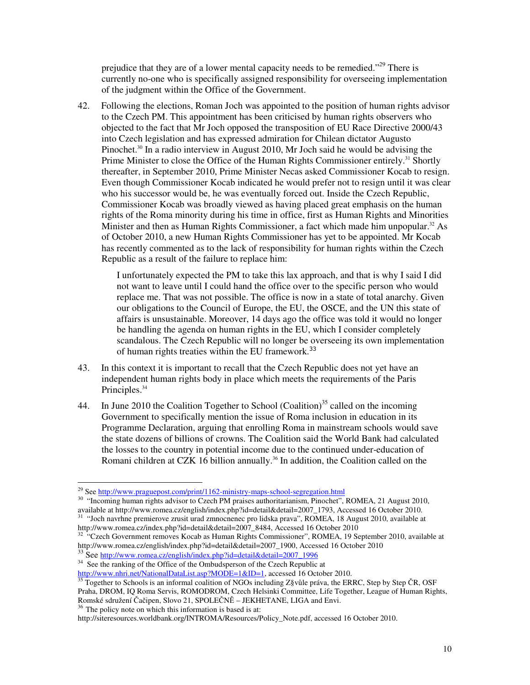prejudice that they are of a lower mental capacity needs to be remedied."<sup>29</sup> There is currently no-one who is specifically assigned responsibility for overseeing implementation of the judgment within the Office of the Government.

42. Following the elections, Roman Joch was appointed to the position of human rights advisor to the Czech PM. This appointment has been criticised by human rights observers who objected to the fact that Mr Joch opposed the transposition of EU Race Directive 2000/43 into Czech legislation and has expressed admiration for Chilean dictator Augusto Pinochet.<sup>30</sup> In a radio interview in August 2010, Mr Joch said he would be advising the Prime Minister to close the Office of the Human Rights Commissioner entirely.<sup>31</sup> Shortly thereafter, in September 2010, Prime Minister Necas asked Commissioner Kocab to resign. Even though Commissioner Kocab indicated he would prefer not to resign until it was clear who his successor would be, he was eventually forced out. Inside the Czech Republic, Commissioner Kocab was broadly viewed as having placed great emphasis on the human rights of the Roma minority during his time in office, first as Human Rights and Minorities Minister and then as Human Rights Commissioner, a fact which made him unpopular.<sup>32</sup> As of October 2010, a new Human Rights Commissioner has yet to be appointed. Mr Kocab has recently commented as to the lack of responsibility for human rights within the Czech Republic as a result of the failure to replace him:

> I unfortunately expected the PM to take this lax approach, and that is why I said I did not want to leave until I could hand the office over to the specific person who would replace me. That was not possible. The office is now in a state of total anarchy. Given our obligations to the Council of Europe, the EU, the OSCE, and the UN this state of affairs is unsustainable. Moreover, 14 days ago the office was told it would no longer be handling the agenda on human rights in the EU, which I consider completely scandalous. The Czech Republic will no longer be overseeing its own implementation of human rights treaties within the EU framework.<sup>33</sup>

- 43. In this context it is important to recall that the Czech Republic does not yet have an independent human rights body in place which meets the requirements of the Paris Principles.<sup>34</sup>
- 44. In June 2010 the Coalition Together to School (Coalition)<sup>35</sup> called on the incoming Government to specifically mention the issue of Roma inclusion in education in its Programme Declaration, arguing that enrolling Roma in mainstream schools would save the state dozens of billions of crowns. The Coalition said the World Bank had calculated the losses to the country in potential income due to the continued under-education of Romani children at CZK 16 billion annually.<sup>36</sup> In addition, the Coalition called on the

 $\overline{a}$ 

http://www.nhri.net/NationalDataList.asp?MODE=1&ID=1, accessed 16 October 2010.

<sup>&</sup>lt;sup>29</sup> See http://www.praguepost.com/print/1162-ministry-maps-school-segregation.html

<sup>&</sup>lt;sup>30</sup> "Incoming human rights advisor to Czech PM praises authoritarianism, Pinochet", ROMEA, 21 August 2010, available at http://www.romea.cz/english/index.php?id=detail&detail=2007\_1793, Accessed 16 October 2010.

 $31$  "Joch navrhne premierove zrusit urad zmnocnenec pro lidska prava", ROMEA, 18 August 2010, available at http://www.romea.cz/index.php?id=detail&detail=2007\_8484, Accessed 16 October 2010

 $32$  "Czech Government removes Kocab as Human Rights Commissioner", ROMEA, 19 September 2010, available at http://www.romea.cz/english/index.php?id=detail&detail=2007\_1900, Accessed 16 October 2010 <sup>33</sup> See http://www.romea.cz/english/index.php?id=detail&detail=2007\_1996

<sup>&</sup>lt;sup>34</sup> See the ranking of the Office of the Ombudsperson of the Czech Republic at

<sup>&</sup>lt;sup>35</sup> Together to Schools is an informal coalition of NGOs including Z§vůle práva, the ERRC, Step by Step ČR, OSF Praha, DROM, IQ Roma Servis, ROMODROM, Czech Helsinki Committee, Life Together, League of Human Rights, Romské sdružení Čačipen, Slovo 21, SPOLEČNĚ – JEKHETANE, LIGA and Envi.  $36$  The policy note on which this information is based is at:

http://siteresources.worldbank.org/INTROMA/Resources/Policy\_Note.pdf, accessed 16 October 2010.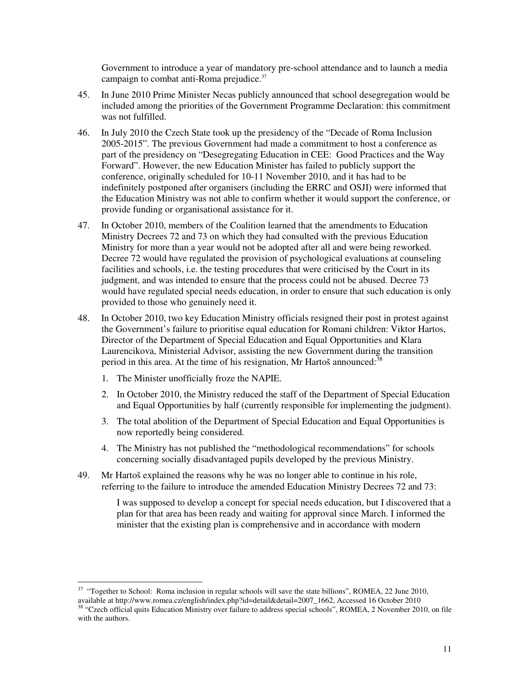Government to introduce a year of mandatory pre-school attendance and to launch a media campaign to combat anti-Roma prejudice.<sup>37</sup>

- 45. In June 2010 Prime Minister Necas publicly announced that school desegregation would be included among the priorities of the Government Programme Declaration: this commitment was not fulfilled.
- 46. In July 2010 the Czech State took up the presidency of the "Decade of Roma Inclusion 2005-2015". The previous Government had made a commitment to host a conference as part of the presidency on "Desegregating Education in CEE: Good Practices and the Way Forward". However, the new Education Minister has failed to publicly support the conference, originally scheduled for 10-11 November 2010, and it has had to be indefinitely postponed after organisers (including the ERRC and OSJI) were informed that the Education Ministry was not able to confirm whether it would support the conference, or provide funding or organisational assistance for it.
- 47. In October 2010, members of the Coalition learned that the amendments to Education Ministry Decrees 72 and 73 on which they had consulted with the previous Education Ministry for more than a year would not be adopted after all and were being reworked. Decree 72 would have regulated the provision of psychological evaluations at counseling facilities and schools, i.e. the testing procedures that were criticised by the Court in its judgment, and was intended to ensure that the process could not be abused. Decree 73 would have regulated special needs education, in order to ensure that such education is only provided to those who genuinely need it.
- 48. In October 2010, two key Education Ministry officials resigned their post in protest against the Government's failure to prioritise equal education for Romani children: Viktor Hartos, Director of the Department of Special Education and Equal Opportunities and Klara Laurencikova, Ministerial Advisor, assisting the new Government during the transition period in this area. At the time of his resignation, Mr Hartoš announced:<sup>38</sup>
	- 1. The Minister unofficially froze the NAPIE.

 $\overline{a}$ 

- 2. In October 2010, the Ministry reduced the staff of the Department of Special Education and Equal Opportunities by half (currently responsible for implementing the judgment).
- 3. The total abolition of the Department of Special Education and Equal Opportunities is now reportedly being considered.
- 4. The Ministry has not published the "methodological recommendations" for schools concerning socially disadvantaged pupils developed by the previous Ministry.
- 49. Mr Hartoš explained the reasons why he was no longer able to continue in his role, referring to the failure to introduce the amended Education Ministry Decrees 72 and 73:

I was supposed to develop a concept for special needs education, but I discovered that a plan for that area has been ready and waiting for approval since March. I informed the minister that the existing plan is comprehensive and in accordance with modern

<sup>&</sup>lt;sup>37</sup> "Together to School: Roma inclusion in regular schools will save the state billions", ROMEA, 22 June 2010, available at http://www.romea.cz/english/index.php?id=detail&detail=2007\_1662, Accessed 16 October 2010 <sup>38</sup> "Czech official quits Education Ministry over failure to address special schools", ROMEA, 2 November 2010, on file with the authors.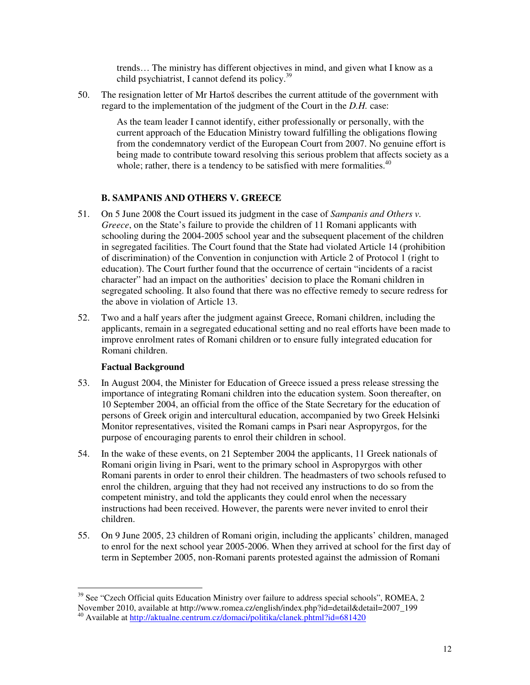trends… The ministry has different objectives in mind, and given what I know as a child psychiatrist, I cannot defend its policy.<sup>39</sup>

50. The resignation letter of Mr Hartoš describes the current attitude of the government with regard to the implementation of the judgment of the Court in the *D.H.* case:

> As the team leader I cannot identify, either professionally or personally, with the current approach of the Education Ministry toward fulfilling the obligations flowing from the condemnatory verdict of the European Court from 2007. No genuine effort is being made to contribute toward resolving this serious problem that affects society as a whole; rather, there is a tendency to be satisfied with mere formalities. $40$

# **B. SAMPANIS AND OTHERS V. GREECE**

- 51. On 5 June 2008 the Court issued its judgment in the case of *Sampanis and Others v. Greece*, on the State's failure to provide the children of 11 Romani applicants with schooling during the 2004-2005 school year and the subsequent placement of the children in segregated facilities. The Court found that the State had violated Article 14 (prohibition of discrimination) of the Convention in conjunction with Article 2 of Protocol 1 (right to education). The Court further found that the occurrence of certain "incidents of a racist character" had an impact on the authorities' decision to place the Romani children in segregated schooling. It also found that there was no effective remedy to secure redress for the above in violation of Article 13.
- 52. Two and a half years after the judgment against Greece, Romani children, including the applicants, remain in a segregated educational setting and no real efforts have been made to improve enrolment rates of Romani children or to ensure fully integrated education for Romani children.

#### **Factual Background**

- 53. In August 2004, the Minister for Education of Greece issued a press release stressing the importance of integrating Romani children into the education system. Soon thereafter, on 10 September 2004, an official from the office of the State Secretary for the education of persons of Greek origin and intercultural education, accompanied by two Greek Helsinki Monitor representatives, visited the Romani camps in Psari near Aspropyrgos, for the purpose of encouraging parents to enrol their children in school.
- 54. In the wake of these events, on 21 September 2004 the applicants, 11 Greek nationals of Romani origin living in Psari, went to the primary school in Aspropyrgos with other Romani parents in order to enrol their children. The headmasters of two schools refused to enrol the children, arguing that they had not received any instructions to do so from the competent ministry, and told the applicants they could enrol when the necessary instructions had been received. However, the parents were never invited to enrol their children.
- 55. On 9 June 2005, 23 children of Romani origin, including the applicants' children, managed to enrol for the next school year 2005-2006. When they arrived at school for the first day of term in September 2005, non-Romani parents protested against the admission of Romani

 $39$  See "Czech Official quits Education Ministry over failure to address special schools", ROMEA, 2 November 2010, available at http://www.romea.cz/english/index.php?id=detail&detail=2007\_199

<sup>&</sup>lt;sup>40</sup> Available at http://aktualne.centrum.cz/domaci/politika/clanek.phtml?id=681420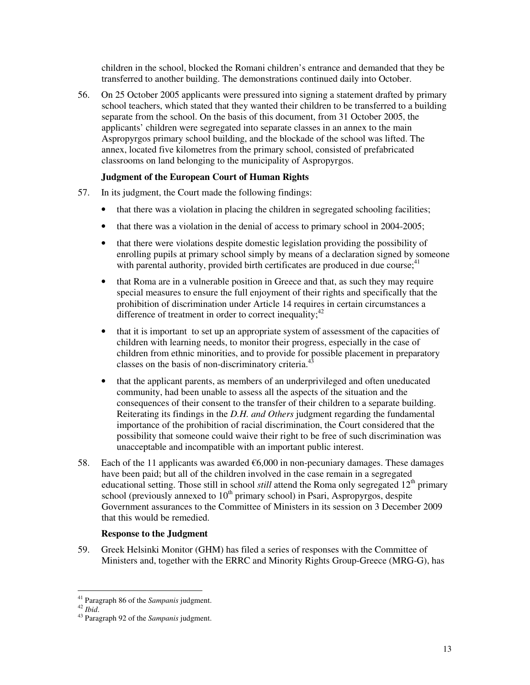children in the school, blocked the Romani children's entrance and demanded that they be transferred to another building. The demonstrations continued daily into October.

56. On 25 October 2005 applicants were pressured into signing a statement drafted by primary school teachers, which stated that they wanted their children to be transferred to a building separate from the school. On the basis of this document, from 31 October 2005, the applicants' children were segregated into separate classes in an annex to the main Aspropyrgos primary school building, and the blockade of the school was lifted. The annex, located five kilometres from the primary school, consisted of prefabricated classrooms on land belonging to the municipality of Aspropyrgos.

### **Judgment of the European Court of Human Rights**

- 57. In its judgment, the Court made the following findings:
	- that there was a violation in placing the children in segregated schooling facilities;
	- that there was a violation in the denial of access to primary school in 2004-2005;
	- that there were violations despite domestic legislation providing the possibility of enrolling pupils at primary school simply by means of a declaration signed by someone with parental authority, provided birth certificates are produced in due course;<sup>41</sup>
	- that Roma are in a vulnerable position in Greece and that, as such they may require special measures to ensure the full enjoyment of their rights and specifically that the prohibition of discrimination under Article 14 requires in certain circumstances a difference of treatment in order to correct inequality;  $42$
	- that it is important to set up an appropriate system of assessment of the capacities of children with learning needs, to monitor their progress, especially in the case of children from ethnic minorities, and to provide for possible placement in preparatory classes on the basis of non-discriminatory criteria.<sup>43</sup>
	- that the applicant parents, as members of an underprivileged and often uneducated community, had been unable to assess all the aspects of the situation and the consequences of their consent to the transfer of their children to a separate building. Reiterating its findings in the *D.H. and Others* judgment regarding the fundamental importance of the prohibition of racial discrimination, the Court considered that the possibility that someone could waive their right to be free of such discrimination was unacceptable and incompatible with an important public interest.
- 58. Each of the 11 applicants was awarded  $\epsilon$ 6,000 in non-pecuniary damages. These damages have been paid; but all of the children involved in the case remain in a segregated educational setting. Those still in school *still* attend the Roma only segregated 12<sup>th</sup> primary school (previously annexed to  $10<sup>th</sup>$  primary school) in Psari, Aspropyrgos, despite Government assurances to the Committee of Ministers in its session on 3 December 2009 that this would be remedied.

#### **Response to the Judgment**

59. Greek Helsinki Monitor (GHM) has filed a series of responses with the Committee of Ministers and, together with the ERRC and Minority Rights Group-Greece (MRG-G), has

 $\overline{a}$ <sup>41</sup> Paragraph 86 of the *Sampanis* judgment.

<sup>42</sup> *Ibid*.

<sup>43</sup> Paragraph 92 of the *Sampanis* judgment.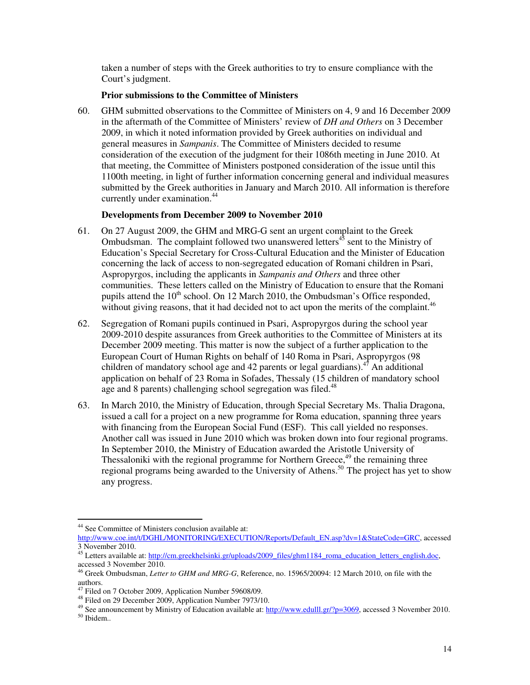taken a number of steps with the Greek authorities to try to ensure compliance with the Court's judgment.

#### **Prior submissions to the Committee of Ministers**

60. GHM submitted observations to the Committee of Ministers on 4, 9 and 16 December 2009 in the aftermath of the Committee of Ministers' review of *DH and Others* on 3 December 2009, in which it noted information provided by Greek authorities on individual and general measures in *Sampanis*. The Committee of Ministers decided to resume consideration of the execution of the judgment for their 1086th meeting in June 2010. At that meeting, the Committee of Ministers postponed consideration of the issue until this 1100th meeting, in light of further information concerning general and individual measures submitted by the Greek authorities in January and March 2010. All information is therefore currently under examination.<sup>44</sup>

#### **Developments from December 2009 to November 2010**

- 61. On 27 August 2009, the GHM and MRG-G sent an urgent complaint to the Greek Ombudsman. The complaint followed two unanswered letters<sup> $45$ </sup> sent to the Ministry of Education's Special Secretary for Cross-Cultural Education and the Minister of Education concerning the lack of access to non-segregated education of Romani children in Psari, Aspropyrgos, including the applicants in *Sampanis and Others* and three other communities. These letters called on the Ministry of Education to ensure that the Romani pupils attend the  $10^{th}$  school. On 12 March 2010, the Ombudsman's Office responded, without giving reasons, that it had decided not to act upon the merits of the complaint.<sup>46</sup>
- 62. Segregation of Romani pupils continued in Psari, Aspropyrgos during the school year 2009-2010 despite assurances from Greek authorities to the Committee of Ministers at its December 2009 meeting. This matter is now the subject of a further application to the European Court of Human Rights on behalf of 140 Roma in Psari, Aspropyrgos (98 children of mandatory school age and 42 parents or legal guardians).<sup>47</sup> An additional application on behalf of 23 Roma in Sofades, Thessaly (15 children of mandatory school age and 8 parents) challenging school segregation was filed. $48$
- 63. In March 2010, the Ministry of Education, through Special Secretary Ms. Thalia Dragona, issued a call for a project on a new programme for Roma education, spanning three years with financing from the European Social Fund (ESF). This call yielded no responses. Another call was issued in June 2010 which was broken down into four regional programs. In September 2010, the Ministry of Education awarded the Aristotle University of Thessaloniki with the regional programme for Northern Greece, $49$  the remaining three regional programs being awarded to the University of Athens.<sup>50</sup> The project has yet to show any progress.

 $\overline{a}$ <sup>44</sup> See Committee of Ministers conclusion available at:

http://www.coe.int/t/DGHL/MONITORING/EXECUTION/Reports/Default\_EN.asp?dv=1&StateCode=GRC, accessed 3 November 2010.

<sup>45</sup> Letters available at: http://cm.greekhelsinki.gr/uploads/2009\_files/ghm1184\_roma\_education\_letters\_english.doc, accessed 3 November 2010.

<sup>46</sup> Greek Ombudsman, *Letter to GHM and MRG-G*, Reference, no. 15965/20094: 12 March 2010, on file with the authors.

Filed on 7 October 2009, Application Number 59608/09.

<sup>48</sup> Filed on 29 December 2009, Application Number 7973/10.

<sup>&</sup>lt;sup>49</sup> See announcement by Ministry of Education available at: http://www.edulll.gr/?p=3069, accessed 3 November 2010. <sup>50</sup> Ibidem..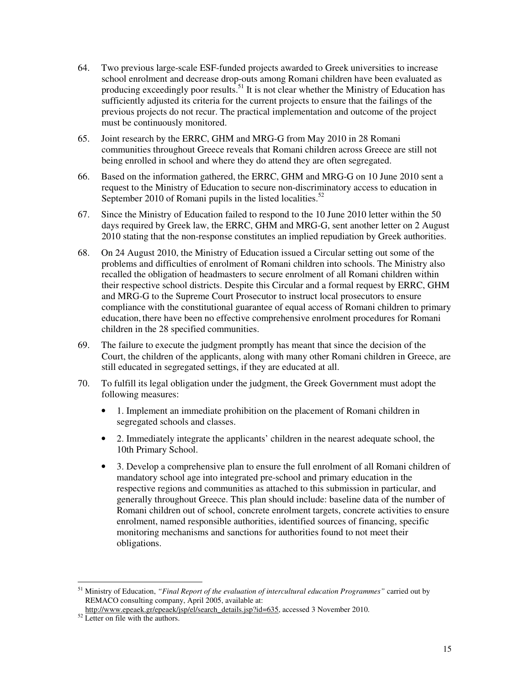- 64. Two previous large-scale ESF-funded projects awarded to Greek universities to increase school enrolment and decrease drop-outs among Romani children have been evaluated as producing exceedingly poor results.<sup>51</sup> It is not clear whether the Ministry of Education has sufficiently adjusted its criteria for the current projects to ensure that the failings of the previous projects do not recur. The practical implementation and outcome of the project must be continuously monitored.
- 65. Joint research by the ERRC, GHM and MRG-G from May 2010 in 28 Romani communities throughout Greece reveals that Romani children across Greece are still not being enrolled in school and where they do attend they are often segregated.
- 66. Based on the information gathered, the ERRC, GHM and MRG-G on 10 June 2010 sent a request to the Ministry of Education to secure non-discriminatory access to education in September 2010 of Romani pupils in the listed localities. $52$
- 67. Since the Ministry of Education failed to respond to the 10 June 2010 letter within the 50 days required by Greek law, the ERRC, GHM and MRG-G, sent another letter on 2 August 2010 stating that the non-response constitutes an implied repudiation by Greek authorities.
- 68. On 24 August 2010, the Ministry of Education issued a Circular setting out some of the problems and difficulties of enrolment of Romani children into schools. The Ministry also recalled the obligation of headmasters to secure enrolment of all Romani children within their respective school districts. Despite this Circular and a formal request by ERRC, GHM and MRG-G to the Supreme Court Prosecutor to instruct local prosecutors to ensure compliance with the constitutional guarantee of equal access of Romani children to primary education, there have been no effective comprehensive enrolment procedures for Romani children in the 28 specified communities.
- 69. The failure to execute the judgment promptly has meant that since the decision of the Court, the children of the applicants, along with many other Romani children in Greece, are still educated in segregated settings, if they are educated at all.
- 70. To fulfill its legal obligation under the judgment, the Greek Government must adopt the following measures:
	- 1. Implement an immediate prohibition on the placement of Romani children in segregated schools and classes.
	- 2. Immediately integrate the applicants' children in the nearest adequate school, the 10th Primary School.
	- 3. Develop a comprehensive plan to ensure the full enrolment of all Romani children of mandatory school age into integrated pre-school and primary education in the respective regions and communities as attached to this submission in particular, and generally throughout Greece. This plan should include: baseline data of the number of Romani children out of school, concrete enrolment targets, concrete activities to ensure enrolment, named responsible authorities, identified sources of financing, specific monitoring mechanisms and sanctions for authorities found to not meet their obligations.

 $\overline{a}$ <sup>51</sup> Ministry of Education, *"Final Report of the evaluation of intercultural education Programmes"* carried out by REMACO consulting company, April 2005, available at:

http://www.epeaek.gr/epeaek/jsp/el/search\_details.jsp?id=635, accessed 3 November 2010.

<sup>&</sup>lt;sup>52</sup> Letter on file with the authors.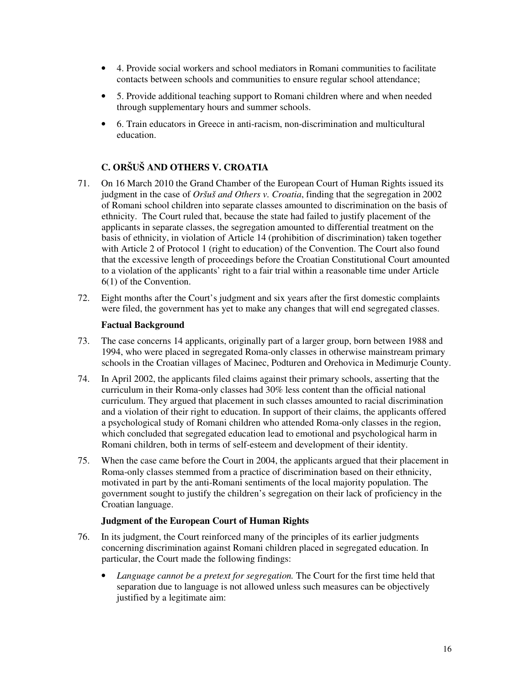- 4. Provide social workers and school mediators in Romani communities to facilitate contacts between schools and communities to ensure regular school attendance;
- 5. Provide additional teaching support to Romani children where and when needed through supplementary hours and summer schools.
- 6. Train educators in Greece in anti-racism, non-discrimination and multicultural education.

# **C. ORŠUŠ AND OTHERS V. CROATIA**

- 71. On 16 March 2010 the Grand Chamber of the European Court of Human Rights issued its judgment in the case of *Oršuš and Others v. Croatia*, finding that the segregation in 2002 of Romani school children into separate classes amounted to discrimination on the basis of ethnicity. The Court ruled that, because the state had failed to justify placement of the applicants in separate classes, the segregation amounted to differential treatment on the basis of ethnicity, in violation of Article 14 (prohibition of discrimination) taken together with Article 2 of Protocol 1 (right to education) of the Convention. The Court also found that the excessive length of proceedings before the Croatian Constitutional Court amounted to a violation of the applicants' right to a fair trial within a reasonable time under Article 6(1) of the Convention.
- 72. Eight months after the Court's judgment and six years after the first domestic complaints were filed, the government has yet to make any changes that will end segregated classes.

#### **Factual Background**

- 73. The case concerns 14 applicants, originally part of a larger group, born between 1988 and 1994, who were placed in segregated Roma-only classes in otherwise mainstream primary schools in the Croatian villages of Macinec, Podturen and Orehovica in Medimurje County.
- 74. In April 2002, the applicants filed claims against their primary schools, asserting that the curriculum in their Roma-only classes had 30% less content than the official national curriculum. They argued that placement in such classes amounted to racial discrimination and a violation of their right to education. In support of their claims, the applicants offered a psychological study of Romani children who attended Roma-only classes in the region, which concluded that segregated education lead to emotional and psychological harm in Romani children, both in terms of self-esteem and development of their identity.
- 75. When the case came before the Court in 2004, the applicants argued that their placement in Roma-only classes stemmed from a practice of discrimination based on their ethnicity, motivated in part by the anti-Romani sentiments of the local majority population. The government sought to justify the children's segregation on their lack of proficiency in the Croatian language.

#### **Judgment of the European Court of Human Rights**

- 76. In its judgment, the Court reinforced many of the principles of its earlier judgments concerning discrimination against Romani children placed in segregated education. In particular, the Court made the following findings:
	- *Language cannot be a pretext for segregation.* The Court for the first time held that separation due to language is not allowed unless such measures can be objectively justified by a legitimate aim: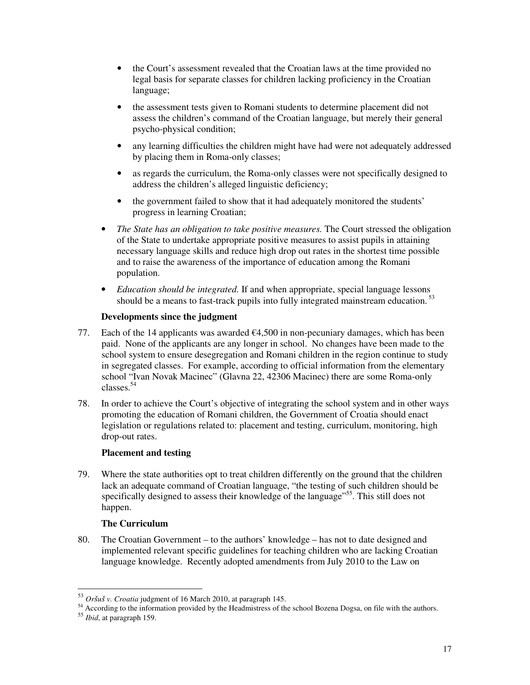- the Court's assessment revealed that the Croatian laws at the time provided no legal basis for separate classes for children lacking proficiency in the Croatian language;
- the assessment tests given to Romani students to determine placement did not assess the children's command of the Croatian language, but merely their general psycho-physical condition;
- any learning difficulties the children might have had were not adequately addressed by placing them in Roma-only classes;
- as regards the curriculum, the Roma-only classes were not specifically designed to address the children's alleged linguistic deficiency;
- the government failed to show that it had adequately monitored the students' progress in learning Croatian;
- *The State has an obligation to take positive measures.* The Court stressed the obligation of the State to undertake appropriate positive measures to assist pupils in attaining necessary language skills and reduce high drop out rates in the shortest time possible and to raise the awareness of the importance of education among the Romani population.
- *Education should be integrated.* If and when appropriate, special language lessons should be a means to fast-track pupils into fully integrated mainstream education.<sup>53</sup>

#### **Developments since the judgment**

- 77. Each of the 14 applicants was awarded  $\epsilon$ 4,500 in non-pecuniary damages, which has been paid. None of the applicants are any longer in school. No changes have been made to the school system to ensure desegregation and Romani children in the region continue to study in segregated classes. For example, according to official information from the elementary school "Ivan Novak Macinec" (Glavna 22, 42306 Macinec) there are some Roma-only classes.<sup>54</sup>
- 78. In order to achieve the Court's objective of integrating the school system and in other ways promoting the education of Romani children, the Government of Croatia should enact legislation or regulations related to: placement and testing, curriculum, monitoring, high drop-out rates.

#### **Placement and testing**

79. Where the state authorities opt to treat children differently on the ground that the children lack an adequate command of Croatian language, "the testing of such children should be specifically designed to assess their knowledge of the language<sup>555</sup>. This still does not happen.

#### **The Curriculum**

80. The Croatian Government – to the authors' knowledge – has not to date designed and implemented relevant specific guidelines for teaching children who are lacking Croatian language knowledge. Recently adopted amendments from July 2010 to the Law on

<sup>53</sup> *Oršuš v. Croatia* judgment of 16 March 2010, at paragraph 145.

<sup>54</sup> According to the information provided by the Headmistress of the school Bozena Dogsa, on file with the authors.

<sup>55</sup> *Ibid*, at paragraph 159.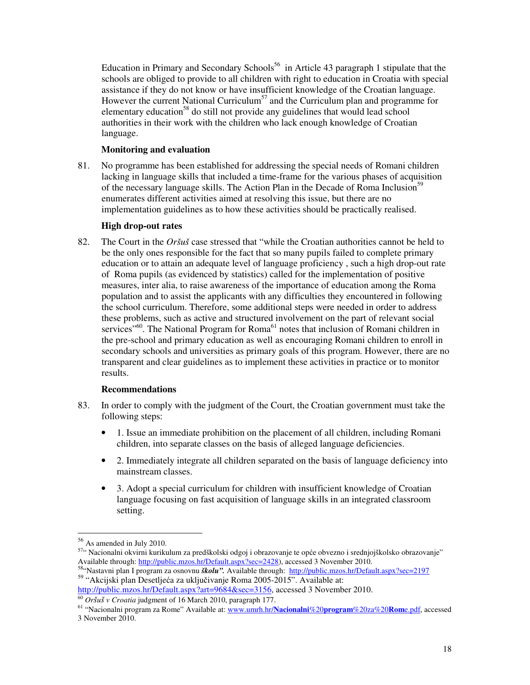Education in Primary and Secondary Schools<sup>56</sup> in Article 43 paragraph 1 stipulate that the schools are obliged to provide to all children with right to education in Croatia with special assistance if they do not know or have insufficient knowledge of the Croatian language. However the current National Curriculum<sup>57</sup> and the Curriculum plan and programme for elementary education<sup>58</sup> do still not provide any guidelines that would lead school authorities in their work with the children who lack enough knowledge of Croatian language.

#### **Monitoring and evaluation**

81. No programme has been established for addressing the special needs of Romani children lacking in language skills that included a time-frame for the various phases of acquisition of the necessary language skills. The Action Plan in the Decade of Roma Inclusion<sup>59</sup> enumerates different activities aimed at resolving this issue, but there are no implementation guidelines as to how these activities should be practically realised.

#### **High drop-out rates**

82. The Court in the *Oršuš* case stressed that "while the Croatian authorities cannot be held to be the only ones responsible for the fact that so many pupils failed to complete primary education or to attain an adequate level of language proficiency , such a high drop-out rate of Roma pupils (as evidenced by statistics) called for the implementation of positive measures, inter alia, to raise awareness of the importance of education among the Roma population and to assist the applicants with any difficulties they encountered in following the school curriculum. Therefore, some additional steps were needed in order to address these problems, such as active and structured involvement on the part of relevant social services<sup>"60</sup>. The National Program for Roma<sup>61</sup> notes that inclusion of Romani children in the pre-school and primary education as well as encouraging Romani children to enroll in secondary schools and universities as primary goals of this program. However, there are no transparent and clear guidelines as to implement these activities in practice or to monitor results.

#### **Recommendations**

- 83. In order to comply with the judgment of the Court, the Croatian government must take the following steps:
	- 1. Issue an immediate prohibition on the placement of all children, including Romani children, into separate classes on the basis of alleged language deficiencies.
	- 2. Immediately integrate all children separated on the basis of language deficiency into mainstream classes.
	- 3. Adopt a special curriculum for children with insufficient knowledge of Croatian language focusing on fast acquisition of language skills in an integrated classroom setting.

<sup>56</sup> As amended in July 2010.

<sup>57&</sup>quot; Nacionalni okvirni kurikulum za predškolski odgoj i obrazovanje te opće obvezno i srednjojškolsko obrazovanje" Available through: http://public.mzos.hr/Default.aspx?sec=2428), accessed 3 November 2010.

<sup>58</sup>"Nastavni plan I program za osnovnu *školu".* Available through: http://public.mzos.hr/Default.aspx?sec=2197 <sup>59</sup> "Akcijski plan Desetljeća za uključivanje Roma 2005-2015". Available at:

http://public.mzos.hr/Default.aspx?art=9684&sec=3156, accessed 3 November 2010. <sup>60</sup> *Oršuš v Croatia* judgment of 16 March 2010, paragraph 177.

<sup>61</sup> "Nacionalni program za Rome" Available at: www.umrh.hr/**Nacionalni**%20**program**%20za%20**Rom**e.pdf, accessed 3 November 2010.